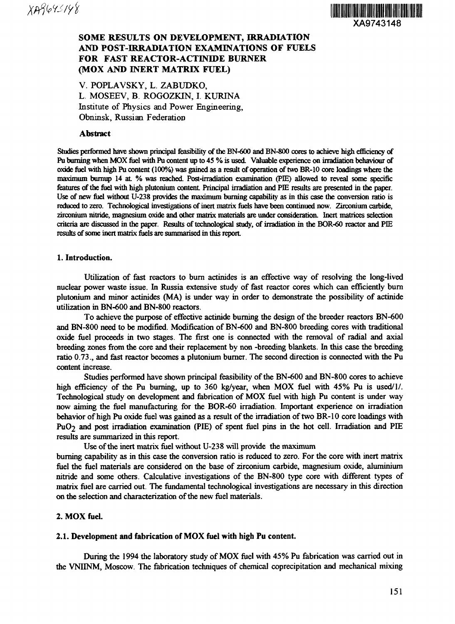

# **SOME RESULTS ON DEVELOPMENT, IRRADIATION AND POST-IRRADIATION EXAMINATIONS OF FUELS FOR FAST REACTOR-ACTINIDE BURNER (MOX AND INERT MATRIX FUEL)**

V. POPLAVSKY, L. ZABUDKO, L. MOSEEV, B. ROGOZKIN, I. KURINA Institute of Physics and Power Engineering, Obninsk, Russian Federation

#### **Abstract**

Studies performed have shown principal feasibility of the BN-600 and BN-800 cores to achieve high efficiency of Pu burning when MOX fuel with Pu content up to 45 % is used. Valuable experience on irradiation behaviour of oxide fuel with high Pu content (100%) was gained as a result of operation of two BR-10 core loadings where the maximum burnup 14 at % was reached Post-irradiation examination (PIE) allowed to reveal some specific features of the fuel with high plutonium content Principal irradiation and PIE results are presented in the paper. Use of new fuel without U-238 provides the maximum burning capability as in this case the conversion ratio is reduced to zero. Technological investigations of inert matrix fuels have been continued now. Zirconium carbide, zirconium nitride, magnesium oxide and other matrix materials are under consideration. Inert matrices selection criteria are discussed in the paper. Results of technological study, of irradiation in the BOR-60 reactor and PIE results of some inert matrix fuels are summarised in this report

#### **1. Introduction.**

Utilization of fast reactors to burn actinides is an effective way of resolving the long-lived nuclear power waste issue. In Russia extensive study of fast reactor cores which can efficiently bum plutonium and minor actinides (MA) is under way in order to demonstrate the possibility of actinide utilization in BN-600 and BN-800 reactors.

To achieve the purpose of effective actinide burning the design of the breeder reactors BN-600 and BN-800 need to be modified. Modification of BN-600 and BN-800 breeding cores with traditional oxide fuel proceeds in two stages. The first one is connected with the removal of radial and axial breeding zones from the core and their replacement by non -breeding blankets. In this case the breeding ratio 0.73., and fast reactor becomes a plutonium burner. The second direction is connected with the Pu content increase.

Studies performed have shown principal feasibility of the BN-600 and BN-800 cores to achieve high efficiency of the Pu burning, up to 360 kg/year, when MOX fuel with 45% Pu is used/1. Technological study on development and fabrication of MOX fuel with high Pu content is under way now aiming the fuel manufacturing for the BOR-60 irradiation. Important experience on irradiation behavior of high Pu oxide fuel was gained as a result of the irradiation of two BR-10 core loadings with PuO2 and post irradiation examination (PIE) of spent fuel pins in the hot cell. Irradiation and PIE results are summarized in this report.

Use of the inert matrix fuel without U-238 will provide the maximum burning capability as in this case the conversion ratio is reduced to zero. For the core with inert matrix

fuel the fuel materials are considered on the base of zirconium carbide, magnesium oxide, aluminium nitride and some others. Calculative investigations of the BN-800 type core with different types of matrix fuel are carried out. The fundamental technological investigations are necessary in this direction on the selection and characterization of the new fuel materials.

#### **2. MOX fuel.**

#### **2.1. Development and fabrication of MOX fuel with high Pu content.**

During the 1994 the laboratory study of MOX fuel with 45% Pu fabrication was carried out in the VNIINM, Moscow. The fabrication techniques of chemical coprecipitation and mechanical mixing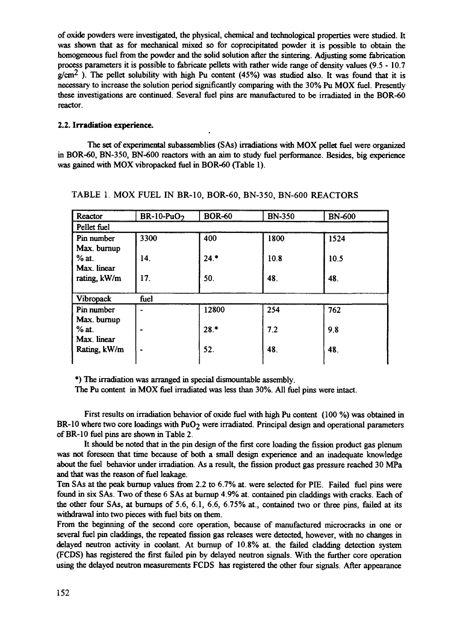of oxide powders were investigated, the physical, chemical and technological properties were studied. It was shown that as for mechanical mixed so for coprecipitated powder it is possible to obtain the homogeneous fuel from the powder and the solid solution after the sintering. Adjusting some fabrication process parameters it is possible to fabricate pellets with rather wide range of density values (9.5 - 10.7  $g/cm<sup>2</sup>$ ). The pellet solubility with high Pu content (45%) was studied also. It was found that it is necessary to increase the solution period significantly comparing with the 30% Pu MOX fuel. Presently these investigations are continued. Several fuel pins are manufactured to be irradiated in the BOR-60 reactor.

#### **2.2. Irradiation experience.**

The set of experimental subassemblies (SAs) irradiations with MOX pellet fuel were organized in BOR-60, BN-350, BN-600 reactors with an aim to study fuel performance. Besides, big experience was gained with MOX vibropacked fuel in BOR-60 (Table 1).

| Reactor      | $BR-10-PuO2$    | <b>BOR-60</b> | <b>BN-350</b> | <b>BN-600</b> |  |
|--------------|-----------------|---------------|---------------|---------------|--|
| Pellet fuel  |                 |               |               |               |  |
| Pin number   | 3300            | 400           | 1800          | 1524          |  |
| Max. burnup  |                 |               |               |               |  |
| $%$ at.      | 14.             | 24.           | 10.8          | 10.5          |  |
| Max. linear  |                 |               |               |               |  |
| rating, kW/m | 17 <sub>1</sub> | 50.           | 48.           | 48.           |  |
|              |                 |               |               |               |  |
| Vibropack    | fuel            |               |               |               |  |
| Pin number   | $\blacksquare$  | 12800         | 254           | 762           |  |
| Max. burnup  |                 |               |               |               |  |
| $%$ at.      |                 | $28.*$        | 7.2           | 9.8           |  |
| Max. linear  |                 |               |               |               |  |
| Rating, kW/m | ٠               | 52.           | 48.           | 48.           |  |
|              |                 |               |               |               |  |

### TABLE 1. MOX FUEL IN BR-10, BOR-60, BN-350, BN-600 REACTORS

\*) The irradiation was arranged in special dismountable assembly.

The Pu content in MOX fuel irradiated was less than 30%. All fuel pins were intact.

First results on irradiation behavior of oxide fuel with high Pu content (100 %) was obtained in  $BR-10$  where two core loadings with PuO<sub>2</sub> were irradiated. Principal design and operational parameters of BR-10 fuel pins are shown in Table 2.

It should be noted that in the pin design of the first core loading the fission product gas plenum was not foreseen that time because of both a small design experience and an inadequate knowledge about the fuel behavior under irradiation. As a result, the fission product gas pressure reached 30 MPa and that was the reason of fuel leakage.

Ten SAs at the peak burnup values from 2.2 to 6.7% at. were selected for PIE. Failed fuel pins were found in six SAs. Two of these 6 SAs at burnup 4.9% at. contained pin claddings with cracks. Each of the other four SAs, at burnups of 5.6, 6.1, 6.6, 6.75% at., contained two or three pins, failed at its withdrawal into two pieces with fuel bits on them.

From the beginning of the second core operation, because of manufactured microcracks in one or several fuel pin claddings, the repeated fission gas releases were detected, however, with no changes in delayed neutron activity in coolant. At burnup of 10.8% at. the failed cladding detection system (FCDS) has registered the first failed pin by delayed neutron signals. With the further core operation using the delayed neutron measurements FCDS has registered the other four signals. After appearance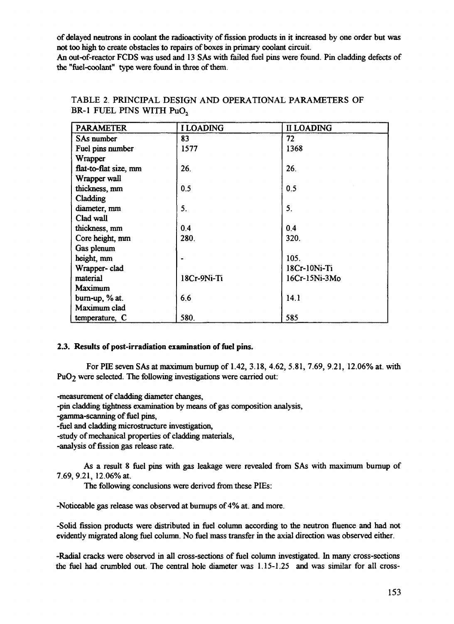of delayed neutrons in coolant the radioactivity of fission products in it increased by one order but was not too high to create obstacles to repairs of boxes in primary coolant circuit.

An out-of-reactor FCDS was used and 13 SAs with failed fuel pins were found. Pin cladding defects of the "fuel-coolant" type were found in three of them.

| <b>PARAMETER</b>      | <b>I LOADING</b> | <b>II LOADING</b> |
|-----------------------|------------------|-------------------|
| SAs number            | 83               | 72                |
| Fuel pins number      | 1577             | 1368              |
| Wrapper               |                  |                   |
| flat-to-flat size, mm | 26.              | 26.               |
| Wrapper wall          |                  |                   |
| thickness, mm         | 0.5              | 0.5               |
| Cladding              |                  |                   |
| diameter, mm          | 5.               | 5.                |
| Clad wall             |                  |                   |
| thickness, mm         | 0.4              | 0.4               |
| Core height, mm       | 280.             | 320.              |
| Gas plenum            |                  |                   |
| height, mm            |                  | 105.              |
| Wrapper-clad          |                  | 18Cr-10Ni-Ti      |
| material              | 18Cr-9Ni-Ti      | 16Cr-15Ni-3Mo     |
| <b>Maximum</b>        |                  |                   |
| $burn-up, % at.$      | 6.6              | 14.1              |
| Maximum clad          |                  |                   |
| temperature, C        | 580.             | 585               |

# TABLE 2. PRINCIPAL DESIGN AND OPERATIONAL PARAMETERS OF BR-1 FUEL PINS WITH PuO<sub>2</sub>

## 2.3. Results of post-irradiation examination of fuel pins.

For PIE seven SAs at maximum burnup of 1.42, 3.18, 4.62, 5.81, 7.69, 9.21, 12.06% at. with PuO<sub>2</sub> were selected. The following investigations were carried out:

-measurement of cladding diameter changes,

-pin cladding tightness examination by means of gas composition analysis,

-gamma-scanning of fuel pins,

-fuel and cladding microstructure investigation,

-study of mechanical properties of cladding materials,

-analysis of fission gas release rate.

As a result 8 fuel pins with gas leakage were revealed from SAs with maximum burnup of 7.69,9.21, 12.06% at.

The following conclusions were derived from these PIEs:

-Noticeable gas release was observed at burnups of 4% at. and more.

-Solid fission products were distributed in fuel column according to the neutron fluence and had not evidently migrated along fuel column. No fuel mass transfer in the axial direction was observed either.

-Radial cracks were observed in all cross-sections of fuel column investigated. In many cross-sections the fuel had crumbled out. The central hole diameter was 1.15-1.25 and was similar for all cross-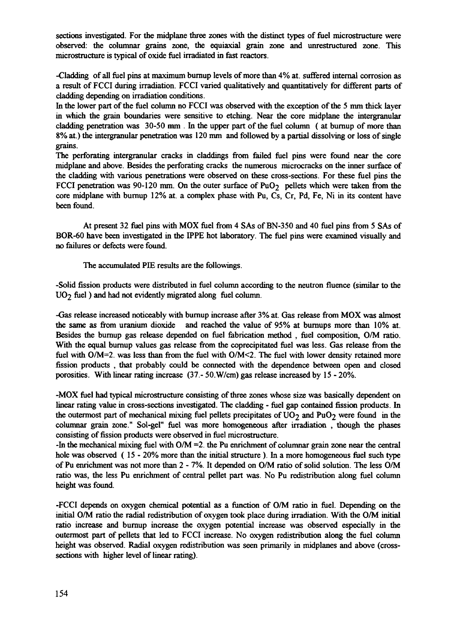sections investigated. For the midplane three zones with the distinct types of fuel microstructure were observed: the columnar grains zone, the equiaxial grain zone and unrestructured zone. This microstructure is typical of oxide fuel irradiated in fast reactors.

-Cladding of all fuel pins at maximum burnup levels of more than 4% at. suffered internal corrosion as a result of FCCI during irradiation. FCCI varied qualitatively and quantitatively for different parts of cladding depending on irradiation conditions.

In the lower part of the fuel column no FCCI was observed with the exception of the 5 mm thick layer in which the grain boundaries were sensitive to etching. Near the core midplane the intergranular cladding penetration was 30-50 mm . In the upper part of the fuel column ( at burnup of more than 8% at.) the intergranular penetration was 120 mm and followed by a partial dissolving or loss of single grains.

The perforating intergranular cracks in claddings from failed fuel pins were found near the core midplane and above. Besides the perforating cracks the numerous microcracks on the inner surface of the cladding with various penetrations were observed on these cross-sections. For these fuel pins the FCCI penetration was 90-120 mm. On the outer surface of  $PuO<sub>2</sub>$  pellets which were taken from the core midplane with burnup 12% at. a complex phase with Pu, Cs, Cr, Pd, Fe, Ni in its content have been found.

At present 32 fuel pins with MOX fuel from 4 SAs of BN-350 and 40 fuel pins from 5 SAs of BOR-60 have been investigated in the IPPE hot laboratory. The fuel pins were examined visually and no failures or defects were found.

The accumulated PIE results are the followings.

-Solid fission products were distributed in fuel column according to the neutron fluence (similar to the  $UO<sub>2</sub>$  fuel ) and had not evidently migrated along fuel column.

-Gas release increased noticeably with burnup increase after 3% at. Gas release from MOX was almost the same as from uranium dioxide and reached the value of 95% at burnups more than 10% at. Besides the burnup gas release depended on fuel fabrication method , fuel composition, O/M ratio. With the equal burnup values gas release from the coprecipitated fuel was less. Gas release from the fuel with O/M=2. was less than from the fuel with O/M<2. The fuel with lower density retained more fission products , that probably could be connected with the dependence between open and closed porosities. With linear rating increase (37.- 50.W/cm) gas release increased by 15 - 20%.

-MOX fuel had typical microstructure consisting of three zones whose size was basically dependent on linear rating value in cross-sections investigated. The cladding - fuel gap contained fission products. In the outermost part of mechanical mixing fuel pellets precipitates of  $UO<sub>2</sub>$  and PuO<sub>2</sub> were found in the columnar grain zone." Sol-gel" fuel was more homogeneous after irradiation , though the phases consisting of fission products were observed in fuel microstructure.

-In the mechanical mixing fuel with O/M =2. the Pu enrichment of columnar grain zone near the central hole was observed (15 - 20% more than the initial structure). In a more homogeneous fuel such type of Pu enrichment was not more than 2 - 7%. It depended on O/M ratio of solid solution. The less O/M ratio was, the less Pu enrichment of central pellet part was. No Pu redistribution along fuel column height was found.

-FCCI depends on oxygen chemical potential as a function of O/M ratio in fuel. Depending on the initial O/M ratio the radial redistribution of oxygen took place during irradiation. With the O/M initial ratio increase and burnup increase the oxygen potential increase was observed especially in the outermost part of pellets that led to FCCI increase. No oxygen redistribution along the fuel column height was observed. Radial oxygen redistribution was seen primarily in midplanes and above (crosssections with higher level of linear rating).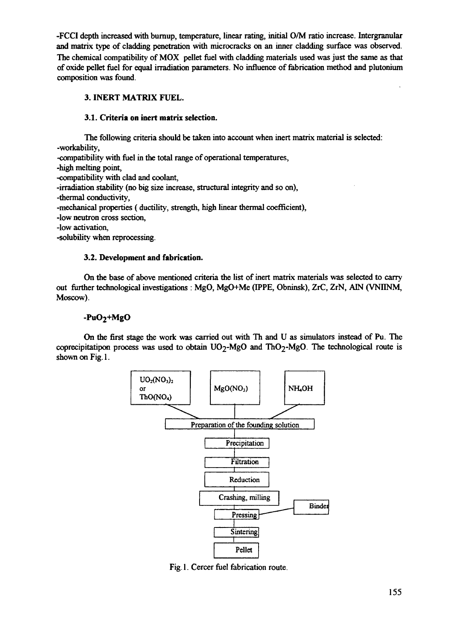-FCCI depth increased with burnup, temperature, linear rating, initial 0/M ratio increase. Intergranular and matrix type of cladding penetration with microcracks on an inner cladding surface was observed. The chemical compatibility of MOX pellet fuel with cladding materials used was just the same as that of oxide pellet fuel for equal irradiation parameters. No influence of fabrication method and plutonium composition was found.

## **3. INERT MATRIX FUEL.**

### **3.1. Criteria on inert matrix selection.**

The following criteria should be taken into account when inert matrix material is selected: -workability,

-compatibility with fuel in the total range of operational temperatures,

-high melting point,

-compatibility with clad and coolant,

-irradiation stability (no big size increase, structural integrity and so on),

-thermal conductivity,

-mechanical properties (ductility, strength, high linear thermal coefficient),

-low neutron cross section,

-low activation,

-solubility when reprocessing.

### **3.2. Development and fabrication.**

On the base of above mentioned criteria the list of inert matrix materials was selected to carry out further technological investigations : MgO, MgO+Me (IPPE, Obninsk), ZrC, ZrN, A1N (VNIINM, Moscow).

# **-PuO2+MgO**

On the first stage the work was carried out with Th and U as simulators instead of Pu. The coprecipitatipon process was used to obtain  $UO<sub>2</sub>-MgO$  and ThO<sub>2</sub>-MgO. The technological route is shown on Fig. 1.



Fig. 1. Cercer fuel fabrication route.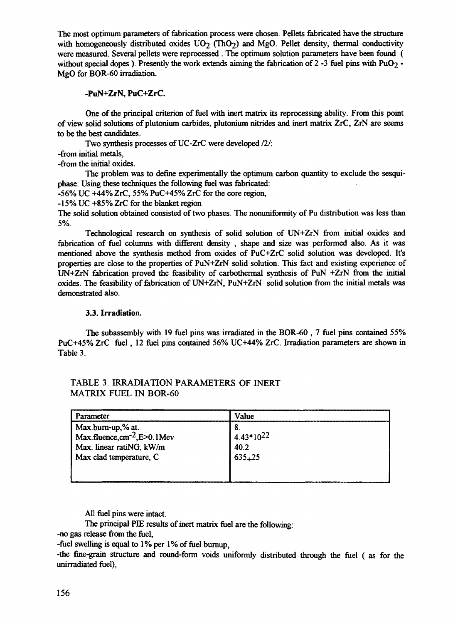The most optimum parameters of fabrication process were chosen. Pellets fabricated have the structure with homogeneously distributed oxides  $UO<sub>2</sub>$  (ThO<sub>2</sub>) and MgO. Pellet density, thermal conductivity were measured. Several pellets were reprocessed . The optimum solution parameters have been found ( without special dopes ). Presently the work extends aiming the fabrication of 2 -3 fuel pins with  $PuO<sub>2</sub>$  -MgO for BOR-60 irradiation.

## **-PuN+ZrN, PuC+ZrC.**

One of the principal criterion of fuel with inert matrix its reprocessing ability. From this point of view solid solutions of plutonium carbides, plutonium nitrides and inert matrix ZrC, ZrN are seems to be the best candidates.

Two synthesis processes of UC-ZrC were developed *111:* -from initial metals,

-from the initial oxides.

The problem was to define experimentally the optimum carbon quantity to exclude the sesquiphase. Using these techniques the following fuel was fabricated:

-56% UC +44% ZrC, 55% PuC+45% ZrC for the core region,

-15% UC +85% ZrC for the blanket region

The solid solution obtained consisted of two phases. The nonuniformity of Pu distribution was less than 5%.

Technological research on synthesis of solid solution of UN+ZrN from initial oxides and fabrication of fuel columns with different density , shape and size was performed also. As it was mentioned above the synthesis method from oxides of PuC+ZrC solid solution was developed. It's properties are close to the properties of PuN+ZrN solid solution. This fact and existing experience of UN+ZrN fabrication proved the feasibility of carbothermal synthesis of PuN +ZrN from the initial oxides. The feasibility of fabrication of UN+ZrN, PuN+ZrN solid solution from the initial metals was demonstrated also.

### **3.3. Irradiation.**

The subassembly with 19 fuel pins was irradiated in the BOR-60 , 7 fuel pins contained 55% PuC+45% ZrC fuel, 12 fuel pins contained 56% UC+44% ZrC. Irradiation parameters are shown in Table 3.

| rameter                                                       | /alue          |  |
|---------------------------------------------------------------|----------------|--|
|                                                               |                |  |
| Max.burn-up,% at.<br>Max.fluence, cm <sup>-2</sup> , E>0.1Mev | $4.43*10^{22}$ |  |
| Max. linear ratiNG, kW/m                                      | 40.2           |  |
| Max clad temperature, C                                       | $635 + 25$     |  |
|                                                               |                |  |
|                                                               |                |  |

# TABLE 3. IRRADIATION PARAMETERS OF INERT MATRIX FUEL IN BOR-60

All fuel pins were intact.

The principal PIE results of inert matrix fuel are the following:

-no gas release from the fuel,

-fuel swelling is equal to 1% per 1% of fuel burnup,

-the fine-grain structure and round-form voids uniformly distributed through the fuel ( as for the unirradiated fuel),